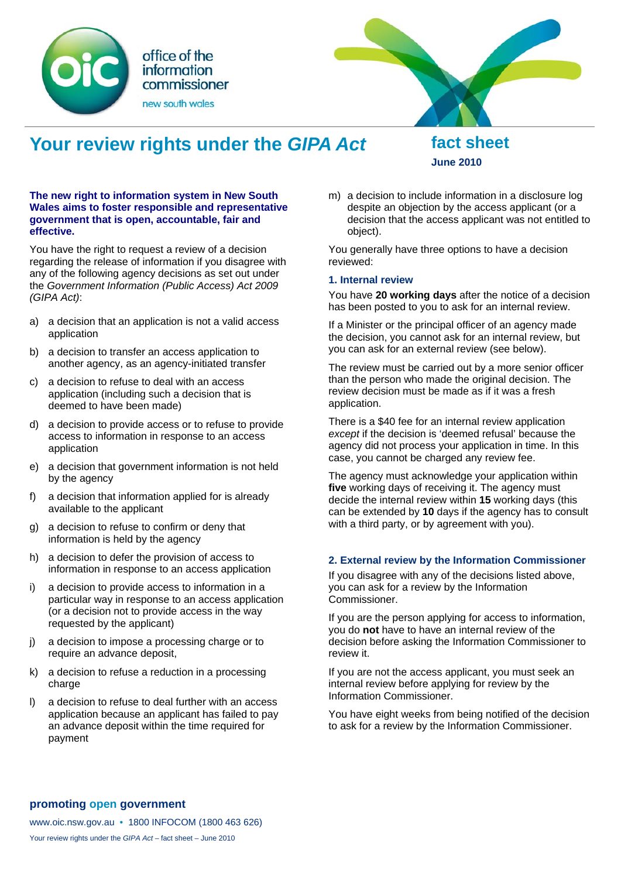



# **Your review rights under the** *GIPA Act* **fact sheet**

**June 2010** 

### **The new right to information system in New South Wales aims to foster responsible and representative government that is open, accountable, fair and effective.**

You have the right to request a review of a decision regarding the release of information if you disagree with any of the following agency decisions as set out under the *Government Information (Public Access) Act 2009 (GIPA Act)*:

- a) a decision that an application is not a valid access application
- b) a decision to transfer an access application to another agency, as an agency-initiated transfer
- c) a decision to refuse to deal with an access application (including such a decision that is deemed to have been made)
- d) a decision to provide access or to refuse to provide access to information in response to an access application
- e) a decision that government information is not held by the agency
- f) a decision that information applied for is already available to the applicant
- g) a decision to refuse to confirm or deny that information is held by the agency
- h) a decision to defer the provision of access to information in response to an access application
- i) a decision to provide access to information in a particular way in response to an access application (or a decision not to provide access in the way requested by the applicant)
- j) a decision to impose a processing charge or to require an advance deposit,
- k) a decision to refuse a reduction in a processing charge
- l) a decision to refuse to deal further with an access application because an applicant has failed to pay an advance deposit within the time required for payment

m) a decision to include information in a disclosure log despite an objection by the access applicant (or a decision that the access applicant was not entitled to object).

You generally have three options to have a decision reviewed:

## **1. Internal review**

You have **20 working days** after the notice of a decision has been posted to you to ask for an internal review.

If a Minister or the principal officer of an agency made the decision, you cannot ask for an internal review, but you can ask for an external review (see below).

The review must be carried out by a more senior officer than the person who made the original decision. The review decision must be made as if it was a fresh application.

There is a \$40 fee for an internal review application *except* if the decision is 'deemed refusal' because the agency did not process your application in time. In this case, you cannot be charged any review fee.

The agency must acknowledge your application within **five** working days of receiving it. The agency must decide the internal review within **15** working days (this can be extended by **10** days if the agency has to consult with a third party, or by agreement with you).

# **2. External review by the Information Commissioner**

If you disagree with any of the decisions listed above, you can ask for a review by the Information Commissioner.

If you are the person applying for access to information, you do **not** have to have an internal review of the decision before asking the Information Commissioner to review it.

If you are not the access applicant, you must seek an internal review before applying for review by the Information Commissioner.

You have eight weeks from being notified of the decision to ask for a review by the Information Commissioner.

### **promoting open government**

www.oic.nsw.gov.au • 1800 INFOCOM (1800 463 626) Your review rights under the *GIPA Act* – fact sheet – June 2010